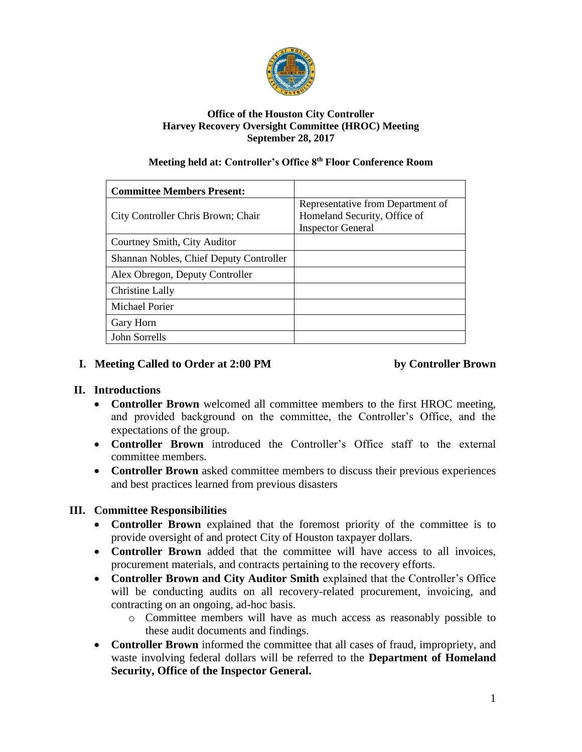

#### **Office of the Houston City Controller Harvey Recovery Oversight Committee (HROC) Meeting September 28, 2017**

#### **Meeting held at: Controller's Office 8th Floor Conference Room**

| <b>Committee Members Present:</b>       |                                                                                               |
|-----------------------------------------|-----------------------------------------------------------------------------------------------|
| City Controller Chris Brown; Chair      | Representative from Department of<br>Homeland Security, Office of<br><b>Inspector General</b> |
| Courtney Smith, City Auditor            |                                                                                               |
| Shannan Nobles, Chief Deputy Controller |                                                                                               |
| Alex Obregon, Deputy Controller         |                                                                                               |
| <b>Christine Lally</b>                  |                                                                                               |
| <b>Michael Porier</b>                   |                                                                                               |
| Gary Horn                               |                                                                                               |
| John Sorrells                           |                                                                                               |

### **I.** Meeting Called to Order at 2:00 PM by Controller Brown

### **II. Introductions**

- **Controller Brown** welcomed all committee members to the first HROC meeting, and provided background on the committee, the Controller's Office, and the expectations of the group.
- **Controller Brown** introduced the Controller's Office staff to the external committee members.
- **Controller Brown** asked committee members to discuss their previous experiences and best practices learned from previous disasters

### **III. Committee Responsibilities**

- **Controller Brown** explained that the foremost priority of the committee is to provide oversight of and protect City of Houston taxpayer dollars.
- **Controller Brown** added that the committee will have access to all invoices, procurement materials, and contracts pertaining to the recovery efforts.
- **Controller Brown and City Auditor Smith** explained that the Controller's Office will be conducting audits on all recovery-related procurement, invoicing, and contracting on an ongoing, ad-hoc basis.
	- o Committee members will have as much access as reasonably possible to these audit documents and findings.
- **Controller Brown** informed the committee that all cases of fraud, impropriety, and waste involving federal dollars will be referred to the **Department of Homeland Security, Office of the Inspector General.**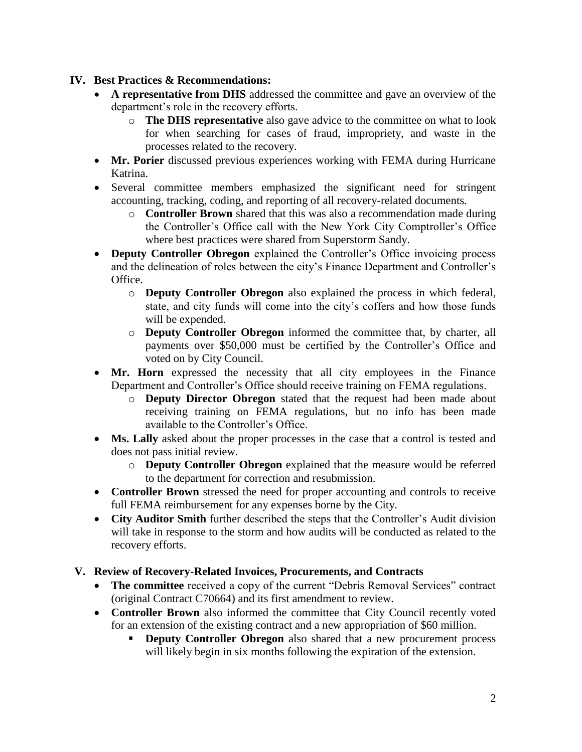### **IV. Best Practices & Recommendations:**

- **A representative from DHS** addressed the committee and gave an overview of the department's role in the recovery efforts.
	- o **The DHS representative** also gave advice to the committee on what to look for when searching for cases of fraud, impropriety, and waste in the processes related to the recovery.
- **Mr. Porier** discussed previous experiences working with FEMA during Hurricane Katrina.
- Several committee members emphasized the significant need for stringent accounting, tracking, coding, and reporting of all recovery-related documents.
	- o **Controller Brown** shared that this was also a recommendation made during the Controller's Office call with the New York City Comptroller's Office where best practices were shared from Superstorm Sandy.
- **Deputy Controller Obregon** explained the Controller's Office invoicing process and the delineation of roles between the city's Finance Department and Controller's Office.
	- o **Deputy Controller Obregon** also explained the process in which federal, state, and city funds will come into the city's coffers and how those funds will be expended.
	- o **Deputy Controller Obregon** informed the committee that, by charter, all payments over \$50,000 must be certified by the Controller's Office and voted on by City Council.
- Mr. Horn expressed the necessity that all city employees in the Finance Department and Controller's Office should receive training on FEMA regulations.
	- o **Deputy Director Obregon** stated that the request had been made about receiving training on FEMA regulations, but no info has been made available to the Controller's Office.
- **Ms. Lally** asked about the proper processes in the case that a control is tested and does not pass initial review.
	- o **Deputy Controller Obregon** explained that the measure would be referred to the department for correction and resubmission.
- **Controller Brown** stressed the need for proper accounting and controls to receive full FEMA reimbursement for any expenses borne by the City.
- **City Auditor Smith** further described the steps that the Controller's Audit division will take in response to the storm and how audits will be conducted as related to the recovery efforts.

# **V.** Review of Recovery-Related Invoices, Procurements, and Contracts

- The committee received a copy of the current "Debris Removal Services" contract (original Contract C70664) and its first amendment to review.
- **Controller Brown** also informed the committee that City Council recently voted for an extension of the existing contract and a new appropriation of \$60 million.
	- **Deputy Controller Obregon** also shared that a new procurement process will likely begin in six months following the expiration of the extension.